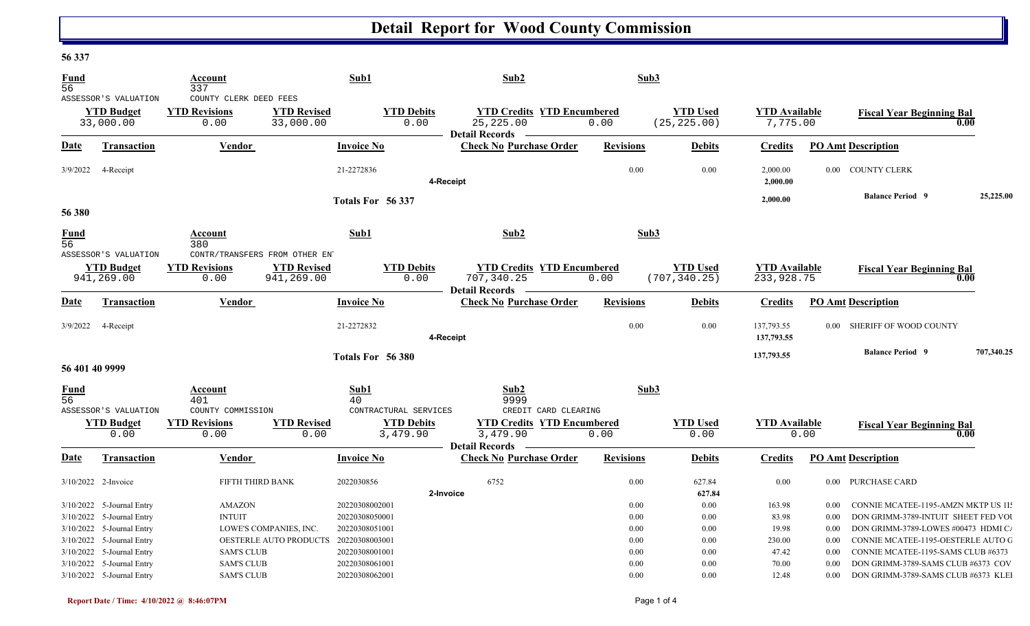## **Detail Report for Wood County Commission**

## **56 337**

| Fund<br>56                     |                                                                                                                  | Account<br>337                                                 |                                                  | Sub1                                                                 | Sub2                                                                                           | Sub3                         |                                  |                                    |                                                                                                                                                                                         |            |
|--------------------------------|------------------------------------------------------------------------------------------------------------------|----------------------------------------------------------------|--------------------------------------------------|----------------------------------------------------------------------|------------------------------------------------------------------------------------------------|------------------------------|----------------------------------|------------------------------------|-----------------------------------------------------------------------------------------------------------------------------------------------------------------------------------------|------------|
|                                | ASSESSOR'S VALUATION<br><b>YTD</b> Budget<br>33,000.00                                                           | COUNTY CLERK DEED FEES<br><b>YTD Revisions</b><br>0.00         | <b>YTD Revised</b><br>33,000.00                  | <b>YTD Debits</b><br>0.00                                            | <b>YTD Credits YTD Encumbered</b><br>25, 225.00<br><b>Detail Records</b>                       | 0.00                         | <b>YTD Used</b><br>(25, 225.00)  | <b>YTD Available</b><br>7,775.00   | <b>Fiscal Year Beginning Bal</b><br>0.00                                                                                                                                                |            |
| Date                           | Transaction                                                                                                      | <b>Vendor</b>                                                  |                                                  | <b>Invoice No</b>                                                    | <b>Check No Purchase Order</b>                                                                 | <b>Revisions</b>             | <b>Debits</b>                    | <b>Credits</b>                     | <b>PO Amt Description</b>                                                                                                                                                               |            |
| 3/9/2022                       | 4-Receipt                                                                                                        |                                                                |                                                  | 21-2272836                                                           | 4-Receipt                                                                                      | 0.00                         | 0.00                             | 2,000.00<br>2,000.00               | 0.00 COUNTY CLERK                                                                                                                                                                       |            |
| 56 380                         |                                                                                                                  |                                                                |                                                  | Totals For 56 337                                                    |                                                                                                |                              |                                  | 2,000.00                           | <b>Balance Period 9</b>                                                                                                                                                                 | 25,225.00  |
| <b>Fund</b><br>$\overline{56}$ |                                                                                                                  | Account<br>380                                                 |                                                  | Sub1                                                                 | Sub2                                                                                           | Sub3                         |                                  |                                    |                                                                                                                                                                                         |            |
|                                | ASSESSOR'S VALUATION<br><b>YTD Budget</b><br>941,269.00                                                          | CONTR/TRANSFERS FROM OTHER ENT<br><b>YTD Revisions</b><br>0.00 | <b>YTD Revised</b><br>941,269.00                 | <b>YTD Debits</b><br>0.00                                            | <b>YTD Credits YTD Encumbered</b><br>707, 340.25<br>Detail Records –                           | 0.00                         | <b>YTD Used</b><br>(707, 340.25) | <b>YTD</b> Available<br>233,928.75 | <b>Fiscal Year Beginning Bal</b><br>0.00                                                                                                                                                |            |
| Date                           | <b>Transaction</b>                                                                                               | Vendor                                                         |                                                  | <b>Invoice No</b>                                                    | <b>Check No Purchase Order</b>                                                                 | <b>Revisions</b>             | <b>Debits</b>                    | <b>Credits</b>                     | <b>PO Amt Description</b>                                                                                                                                                               |            |
| 3/9/2022                       | 4-Receipt                                                                                                        |                                                                |                                                  | 21-2272832                                                           | 4-Receipt                                                                                      | 0.00                         | 0.00                             | 137,793.55<br>137,793.55           | SHERIFF OF WOOD COUNTY<br>0.00                                                                                                                                                          |            |
| 56 401 40 9999                 |                                                                                                                  |                                                                |                                                  | Totals For 56 380                                                    |                                                                                                |                              |                                  | 137,793.55                         | <b>Balance Period 9</b>                                                                                                                                                                 | 707,340.25 |
| <b>Fund</b><br>56              |                                                                                                                  | Account<br>401                                                 |                                                  | Sub1<br>40                                                           | Sub2<br>9999                                                                                   | Sub3                         |                                  |                                    |                                                                                                                                                                                         |            |
|                                | ASSESSOR'S VALUATION<br><b>YTD Budget</b><br>0.00                                                                | COUNTY COMMISSION<br><b>YTD Revisions</b><br>0.00              | <b>YTD Revised</b><br>0.00                       | CONTRACTURAL SERVICES<br><b>YTD Debits</b><br>3,479.90               | CREDIT CARD CLEARING<br><b>YTD Credits YTD Encumbered</b><br>3,479.90<br><b>Detail Records</b> | 0.00                         | <b>YTD Used</b><br>0.00          | <b>YTD Available</b>               | <b>Fiscal Year Beginning Bal</b><br>0.00<br>0.00                                                                                                                                        |            |
| Date                           | <b>Transaction</b>                                                                                               | <b>Vendor</b>                                                  |                                                  | <b>Invoice No</b>                                                    | <b>Check No Purchase Order</b>                                                                 | <b>Revisions</b>             | <b>Debits</b>                    | <b>Credits</b>                     | <b>PO Amt Description</b>                                                                                                                                                               |            |
|                                | 3/10/2022 2-Invoice                                                                                              | FIFTH THIRD BANK                                               |                                                  | 2022030856                                                           | 6752<br>2-Invoice                                                                              | 0.00                         | 627.84<br>627.84                 | 0.00                               | 0.00 PURCHASE CARD                                                                                                                                                                      |            |
|                                | 3/10/2022 5-Journal Entry<br>3/10/2022 5-Journal Entry<br>3/10/2022 5-Journal Entry<br>3/10/2022 5-Journal Entry | <b>AMAZON</b><br><b>INTUIT</b>                                 | LOWE'S COMPANIES, INC.<br>OESTERLE AUTO PRODUCTS | 20220308002001<br>20220308050001<br>20220308051001<br>20220308003001 |                                                                                                | 0.00<br>0.00<br>0.00<br>0.00 | 0.00<br>0.00<br>0.00<br>0.00     | 163.98<br>83.98<br>19.98<br>230.00 | CONNIE MCATEE-1195-AMZN MKTP US 1I:<br>0.00<br>DON GRIMM-3789-INTUIT SHEET FED VOI<br>0.00<br>DON GRIMM-3789-LOWES #00473 HDMI C.<br>0.00<br>CONNIE MCATEE-1195-OESTERLE AUTO O<br>0.00 |            |
|                                | 3/10/2022 5-Journal Entry<br>3/10/2022 5-Journal Entry<br>3/10/2022 5-Journal Entry                              | <b>SAM'S CLUB</b><br><b>SAM'S CLUB</b><br><b>SAM'S CLUB</b>    |                                                  | 20220308001001<br>20220308061001<br>20220308062001                   |                                                                                                | 0.00<br>0.00<br>0.00         | 0.00<br>0.00<br>0.00             | 47.42<br>70.00<br>12.48            | CONNIE MCATEE-1195-SAMS CLUB #6373<br>0.00<br>DON GRIMM-3789-SAMS CLUB #6373 COV<br>0.00<br>DON GRIMM-3789-SAMS CLUB #6373 KLEI<br>$0.00\,$                                             |            |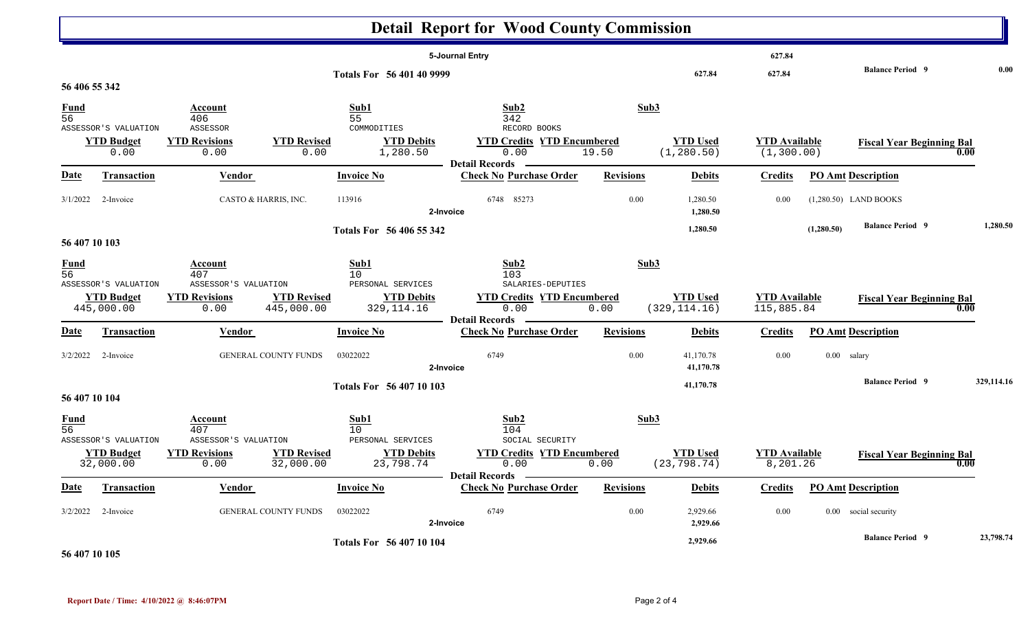|                                                 |                                                         |                                                                        |                                  |                                                                    | <b>Detail Report for Wood County Commission</b>                                                 |                  |                                  |                                     |            |                                  |            |
|-------------------------------------------------|---------------------------------------------------------|------------------------------------------------------------------------|----------------------------------|--------------------------------------------------------------------|-------------------------------------------------------------------------------------------------|------------------|----------------------------------|-------------------------------------|------------|----------------------------------|------------|
|                                                 |                                                         |                                                                        |                                  | Totals For 56 401 40 9999                                          | 5-Journal Entry                                                                                 |                  | 627.84                           | 627.84<br>627.84                    |            | <b>Balance Period 9</b>          | 0.00       |
| 56 406 55 342<br><b>Fund</b><br>$\overline{56}$ | ASSESSOR'S VALUATION<br><b>YTD Budget</b><br>0.00       | Account<br>406<br>ASSESSOR<br><b>YTD Revisions</b><br>0.00             | <b>YTD Revised</b><br>0.00       | Sub1<br>55<br>COMMODITIES<br><b>YTD Debits</b><br>1,280.50         | Sub2<br>342<br>RECORD BOOKS<br><b>YTD Credits YTD Encumbered</b><br>0.00                        | Sub3<br>19.50    | <b>YTD Used</b><br>(1, 280.50)   | <b>YTD</b> Available<br>(1, 300.00) |            | <b>Fiscal Year Beginning Bal</b> | 0.00       |
| <b>Date</b>                                     | <b>Transaction</b>                                      | <b>Vendor</b>                                                          |                                  | <b>Invoice No</b>                                                  | <b>Detail Records</b><br><b>Check No Purchase Order</b>                                         | <b>Revisions</b> | <b>Debits</b>                    | <b>Credits</b>                      |            | <b>PO Amt Description</b>        |            |
| 3/1/2022                                        | 2-Invoice                                               | CASTO & HARRIS, INC.                                                   |                                  | 113916                                                             | 6748 85273<br>2-Invoice                                                                         | 0.00             | 1,280.50<br>1,280.50             | 0.00                                |            | $(1,280.50)$ LAND BOOKS          |            |
| 56 407 10 103                                   |                                                         |                                                                        |                                  | Totals For 56 406 55 342                                           |                                                                                                 |                  | 1,280.50                         |                                     | (1,280.50) | <b>Balance Period 9</b>          | 1,280.50   |
| $\frac{Fund}{56}$                               | ASSESSOR'S VALUATION<br><b>YTD Budget</b><br>445,000.00 | Account<br>407<br>ASSESSOR'S VALUATION<br><b>YTD Revisions</b><br>0.00 | <b>YTD Revised</b><br>445,000.00 | Sub1<br>10<br>PERSONAL SERVICES<br><b>YTD Debits</b><br>329,114.16 | Sub2<br>103<br>SALARIES-DEPUTIES<br><b>YTD Credits YTD Encumbered</b><br>0.00                   | Sub3<br>0.00     | <b>YTD Used</b><br>(329, 114.16) | <b>YTD Available</b><br>115,885.84  |            | <b>Fiscal Year Beginning Bal</b> | 0.00       |
| Date                                            | Transaction                                             | Vendor                                                                 |                                  | <b>Invoice No</b>                                                  | <b>Detail Records</b><br><b>Check No Purchase Order</b>                                         | <b>Revisions</b> | <b>Debits</b>                    | <b>Credits</b>                      |            | <b>PO Amt Description</b>        |            |
| 3/2/2022                                        | 2-Invoice                                               |                                                                        | <b>GENERAL COUNTY FUNDS</b>      | 03022022                                                           | 6749<br>2-Invoice                                                                               | 0.00             | 41,170.78<br>41,170.78           | 0.00                                |            | 0.00 salary                      |            |
| 56 407 10 104                                   |                                                         |                                                                        |                                  | Totals For 56 407 10 103                                           |                                                                                                 |                  | 41,170.78                        |                                     |            | <b>Balance Period 9</b>          | 329,114.16 |
| $\frac{Fund}{56}$                               | ASSESSOR'S VALUATION<br><b>YTD Budget</b><br>32,000.00  | Account<br>407<br>ASSESSOR'S VALUATION<br><b>YTD Revisions</b><br>0.00 | <b>YTD Revised</b><br>32,000.00  | Sub1<br>10<br>PERSONAL SERVICES<br><b>YTD Debits</b><br>23,798.74  | Sub2<br>104<br>SOCIAL SECURITY<br><b>YTD Credits YTD Encumbered</b><br>0.00<br>Detail Records — | Sub3<br>0.00     | <b>YTD Used</b><br>(23, 798.74)  | <b>YTD</b> Available<br>8,201.26    |            | <b>Fiscal Year Beginning Bal</b> | 0.00       |
| <b>Date</b>                                     | <b>Transaction</b>                                      | <b>Vendor</b>                                                          |                                  | <b>Invoice No</b>                                                  | <b>Check No Purchase Order</b>                                                                  | <b>Revisions</b> | <b>Debits</b>                    | <b>Credits</b>                      |            | <b>PO Amt Description</b>        |            |
| 3/2/2022                                        | 2-Invoice                                               |                                                                        | GENERAL COUNTY FUNDS             | 03022022                                                           | 6749<br>2-Invoice                                                                               | 0.00             | 2,929.66<br>2,929.66             | 0.00                                |            | 0.00 social security             |            |
|                                                 |                                                         |                                                                        |                                  | Totals For 56 407 10 104                                           |                                                                                                 |                  | 2,929.66                         |                                     |            | <b>Balance Period 9</b>          | 23,798.74  |

**56 407 10 105**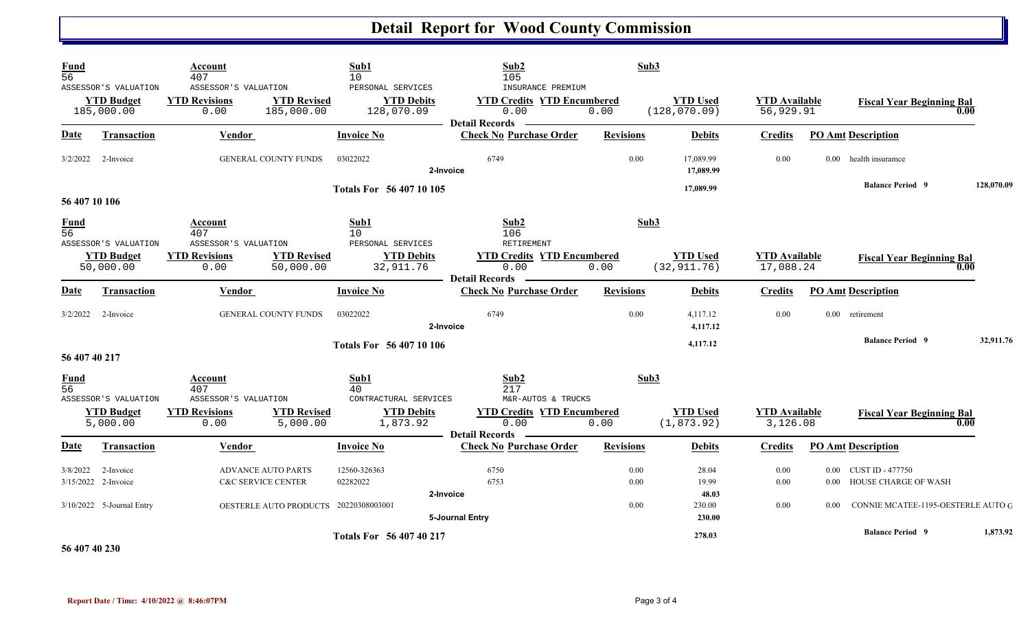## **Detail Report for Wood County Commission**

| <b>Fund</b><br>$\overline{56}$ |                                                         | Account<br>407                                       |                                       | Sub1<br>10                                           | Sub2<br>105                                                                             | Sub3             |                                  |                                   |          |                                               |            |
|--------------------------------|---------------------------------------------------------|------------------------------------------------------|---------------------------------------|------------------------------------------------------|-----------------------------------------------------------------------------------------|------------------|----------------------------------|-----------------------------------|----------|-----------------------------------------------|------------|
|                                | ASSESSOR'S VALUATION<br><b>YTD Budget</b><br>185,000.00 | ASSESSOR'S VALUATION<br><b>YTD Revisions</b><br>0.00 | <b>YTD Revised</b><br>185,000.00      | PERSONAL SERVICES<br><b>YTD Debits</b><br>128,070.09 | INSURANCE PREMIUM<br><b>YTD Credits YTD Encumbered</b><br>0.00<br><b>Detail Records</b> | 0.00             | <b>YTD Used</b><br>(128, 070.09) | <b>YTD Available</b><br>56,929.91 |          | <b>Fiscal Year Beginning Bal</b><br>0.00      |            |
| <b>Date</b>                    | <b>Transaction</b>                                      | <b>Vendor</b>                                        |                                       | <b>Invoice No</b>                                    | <b>Check No Purchase Order</b>                                                          | <b>Revisions</b> | <b>Debits</b>                    | <b>Credits</b>                    |          | <b>PO Amt Description</b>                     |            |
| 3/2/2022                       | 2-Invoice                                               |                                                      | <b>GENERAL COUNTY FUNDS</b>           | 03022022                                             | 6749<br>2-Invoice                                                                       | 0.00             | 17,089.99<br>17,089.99           | 0.00                              | $0.00 -$ | health insuramce                              |            |
| 56 407 10 106                  |                                                         |                                                      |                                       | Totals For 56 407 10 105                             |                                                                                         |                  | 17,089.99                        |                                   |          | <b>Balance Period 9</b>                       | 128,070.09 |
| <b>Fund</b><br>$\overline{56}$ | ASSESSOR'S VALUATION                                    | Account<br>407<br>ASSESSOR'S VALUATION               |                                       | Sub1<br>10<br>PERSONAL SERVICES                      | Sub2<br>106<br>RETIREMENT                                                               | Sub3             |                                  |                                   |          |                                               |            |
|                                | <b>YTD Budget</b><br>50,000.00                          | <b>YTD Revisions</b><br>0.00                         | <b>YTD Revised</b><br>50,000.00       | <b>YTD Debits</b><br>32,911.76                       | <b>YTD Credits YTD Encumbered</b><br>0.00<br>- Detail Records                           | 0.00             | <b>YTD Used</b><br>(32, 911.76)  | <b>YTD</b> Available<br>17,088.24 |          | <b>Fiscal Year Beginning Bal</b><br>0.00      |            |
| <b>Date</b>                    | Transaction                                             | Vendor                                               |                                       | <b>Invoice No</b>                                    | <b>Check No Purchase Order</b>                                                          | <b>Revisions</b> | <b>Debits</b>                    | <b>Credits</b>                    |          | <b>PO Amt Description</b>                     |            |
|                                | 3/2/2022 2-Invoice                                      |                                                      | <b>GENERAL COUNTY FUNDS</b>           | 03022022                                             | 6749<br>2-Invoice                                                                       | 0.00             | 4,117.12<br>4,117.12             | 0.00                              |          | 0.00 retirement                               |            |
| 56 407 40 217                  |                                                         |                                                      |                                       | <b>Totals For 56 407 10 106</b>                      |                                                                                         |                  | 4,117.12                         |                                   |          | <b>Balance Period 9</b>                       | 32,911.76  |
| <b>Fund</b><br>$\overline{56}$ | ASSESSOR'S VALUATION                                    | Account<br>407<br>ASSESSOR'S VALUATION               |                                       | Sub1<br>40<br>CONTRACTURAL SERVICES                  | Sub2<br>217<br>M&R-AUTOS & TRUCKS                                                       | Sub3             |                                  |                                   |          |                                               |            |
|                                | <b>YTD Budget</b><br>5,000.00                           | <b>YTD Revisions</b><br>0.00                         | <b>YTD Revised</b><br>5,000.00        | <b>YTD Debits</b><br>1,873.92                        | <b>YTD Credits YTD Encumbered</b><br>0.00<br>- Detail Records                           | 0.00             | <b>YTD Used</b><br>(1, 873.92)   | <b>YTD</b> Available<br>3,126.08  |          | <b>Fiscal Year Beginning Bal</b><br>0.00      |            |
| <b>Date</b>                    | <b>Transaction</b>                                      | Vendor                                               |                                       | <b>Invoice No</b>                                    | <b>Check No Purchase Order</b>                                                          | <b>Revisions</b> | <b>Debits</b>                    | <b>Credits</b>                    |          | <b>PO Amt Description</b>                     |            |
| 3/8/2022                       | 2-Invoice<br>3/15/2022 2-Invoice                        | <b>C&amp;C SERVICE CENTER</b>                        | <b>ADVANCE AUTO PARTS</b>             | 12560-326363<br>02282022                             | 6750<br>6753<br>2-Invoice                                                               | 0.00<br>0.00     | 28.04<br>19.99<br>48.03          | 0.00<br>0.00                      | $0.00\,$ | 0.00 CUST ID - 477750<br>HOUSE CHARGE OF WASH |            |
|                                | 3/10/2022 5-Journal Entry                               |                                                      | OESTERLE AUTO PRODUCTS 20220308003001 |                                                      | 5-Journal Entry                                                                         | 0.00             | 230.00<br>230.00                 | 0.00                              | 0.00     | CONNIE MCATEE-1195-OESTERLE AUTO G            |            |
|                                |                                                         |                                                      |                                       | Totals For 56 407 40 217                             |                                                                                         |                  | 278.03                           |                                   |          | <b>Balance Period 9</b>                       | 1,873.92   |

**56 407 40 230**